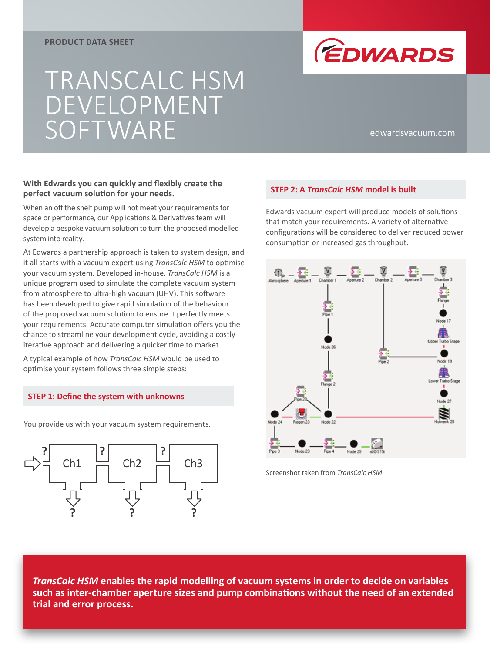#### **PRODUCT DATA SHEET**

# TRANSCALC HSM DEVELOPMENT SOFTWARE edwardsvacuum.com



### **With Edwards you can quickly and flexibly create the perfect vacuum solution for your needs.**

When an off the shelf pump will not meet your requirements for space or performance, our Applications & Derivatives team will develop a bespoke vacuum solution to turn the proposed modelled system into reality.

At Edwards a partnership approach is taken to system design, and it all starts with a vacuum expert using *TransCalc HSM* to optimise your vacuum system. Developed in-house, *TransCalc HSM* is a unique program used to simulate the complete vacuum system from atmosphere to ultra-high vacuum (UHV). This software has been developed to give rapid simulation of the behaviour of the proposed vacuum solution to ensure it perfectly meets your requirements. Accurate computer simulation offers you the chance to streamline your development cycle, avoiding a costly iterative approach and delivering a quicker time to market.

A typical example of how *TransCalc HSM* would be used to optimise your system follows three simple steps:

#### **STEP 1: Define the system with unknowns**

You provide us with your vacuum system requirements.



## **STEP 2: A** *TransCalc HSM* **model is built**

Edwards vacuum expert will produce models of solutions that match your requirements. A variety of alternative configurations will be considered to deliver reduced power consumption or increased gas throughput.



Screenshot taken from *TransCalc HSM*

*TransCalc HSM* **enables the rapid modelling of vacuum systems in order to decide on variables such as inter-chamber aperture sizes and pump combinations without the need of an extended trial and error process.**